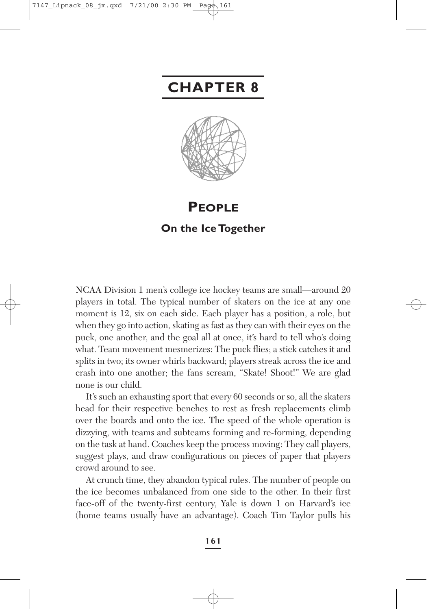# **CHAPTER 8**



**PEOPLE**

**On the Ice Together**

NCAA Division 1 men's college ice hockey teams are small—around 20 players in total. The typical number of skaters on the ice at any one moment is 12, six on each side. Each player has a position, a role, but when they go into action, skating as fast as they can with their eyes on the puck, one another, and the goal all at once, it's hard to tell who's doing what. Team movement mesmerizes: The puck flies; a stick catches it and splits in two; its owner whirls backward; players streak across the ice and crash into one another; the fans scream, "Skate! Shoot!" We are glad none is our child.

It's such an exhausting sport that every 60 seconds or so, all the skaters head for their respective benches to rest as fresh replacements climb over the boards and onto the ice. The speed of the whole operation is dizzying, with teams and subteams forming and re-forming, depending on the task at hand. Coaches keep the process moving: They call players, suggest plays, and draw configurations on pieces of paper that players crowd around to see.

At crunch time, they abandon typical rules. The number of people on the ice becomes unbalanced from one side to the other. In their first face-off of the twenty-first century, Yale is down 1 on Harvard's ice (home teams usually have an advantage). Coach Tim Taylor pulls his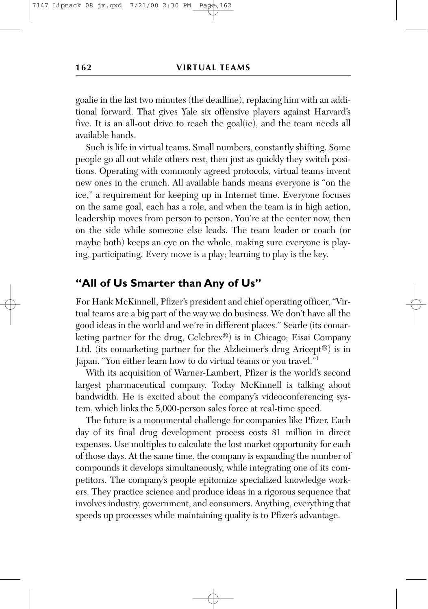goalie in the last two minutes (the deadline), replacing him with an additional forward. That gives Yale six offensive players against Harvard's five. It is an all-out drive to reach the goal(ie), and the team needs all available hands.

Such is life in virtual teams. Small numbers, constantly shifting. Some people go all out while others rest, then just as quickly they switch positions. Operating with commonly agreed protocols, virtual teams invent new ones in the crunch. All available hands means everyone is "on the ice," a requirement for keeping up in Internet time. Everyone focuses on the same goal, each has a role, and when the team is in high action, leadership moves from person to person. You're at the center now, then on the side while someone else leads. The team leader or coach (or maybe both) keeps an eye on the whole, making sure everyone is playing, participating. Every move is a play; learning to play is the key.

## **"All of Us Smarter than Any of Us"**

For Hank McKinnell, Pfizer's president and chief operating officer, "Virtual teams are a big part of the way we do business. We don't have all the good ideas in the world and we're in different places." Searle (its comarketing partner for the drug, Celebrex®) is in Chicago; Eisai Company Ltd. (its comarketing partner for the Alzheimer's drug Aricept®) is in Japan. "You either learn how to do virtual teams or you travel."1

With its acquisition of Warner-Lambert, Pfizer is the world's second largest pharmaceutical company. Today McKinnell is talking about bandwidth. He is excited about the company's videoconferencing system, which links the 5,000-person sales force at real-time speed.

The future is a monumental challenge for companies like Pfizer. Each day of its final drug development process costs \$1 million in direct expenses. Use multiples to calculate the lost market opportunity for each of those days. At the same time, the company is expanding the number of compounds it develops simultaneously, while integrating one of its competitors. The company's people epitomize specialized knowledge workers. They practice science and produce ideas in a rigorous sequence that involves industry, government, and consumers. Anything, everything that speeds up processes while maintaining quality is to Pfizer's advantage.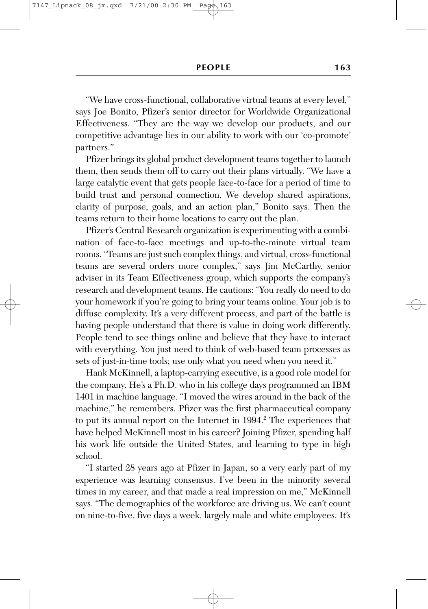"We have cross-functional, collaborative virtual teams at every level," says Joe Bonito, Pfizer's senior director for Worldwide Organizational Effectiveness. "They are the way we develop our products, and our competitive advantage lies in our ability to work with our 'co-promote' partners."

Pfizer brings its global product development teams together to launch them, then sends them off to carry out their plans virtually. "We have a large catalytic event that gets people face-to-face for a period of time to build trust and personal connection. We develop shared aspirations, clarity of purpose, goals, and an action plan," Bonito says. Then the teams return to their home locations to carry out the plan.

Pfizer's Central Research organization is experimenting with a combination of face-to-face meetings and up-to-the-minute virtual team rooms. "Teams are just such complex things, and virtual, cross-functional teams are several orders more complex," says Jim McCarthy, senior adviser in its Team Effectiveness group, which supports the company's research and development teams. He cautions: "You really do need to do your homework if you're going to bring your teams online. Your job is to diffuse complexity. It's a very different process, and part of the battle is having people understand that there is value in doing work differently. People tend to see things online and believe that they have to interact with everything. You just need to think of web-based team processes as sets of just-in-time tools; use only what you need when you need it."

Hank McKinnell, a laptop-carrying executive, is a good role model for the company. He's a Ph.D. who in his college days programmed an IBM 1401 in machine language. "I moved the wires around in the back of the machine," he remembers. Pfizer was the first pharmaceutical company to put its annual report on the Internet in 1994.<sup>2</sup> The experiences that have helped McKinnell most in his career? Joining Pfizer, spending half his work life outside the United States, and learning to type in high school.

"I started 28 years ago at Pfizer in Japan, so a very early part of my experience was learning consensus. I've been in the minority several times in my career, and that made a real impression on me," McKinnell says. "The demographics of the workforce are driving us. We can't count on nine-to-five, five days a week, largely male and white employees. It's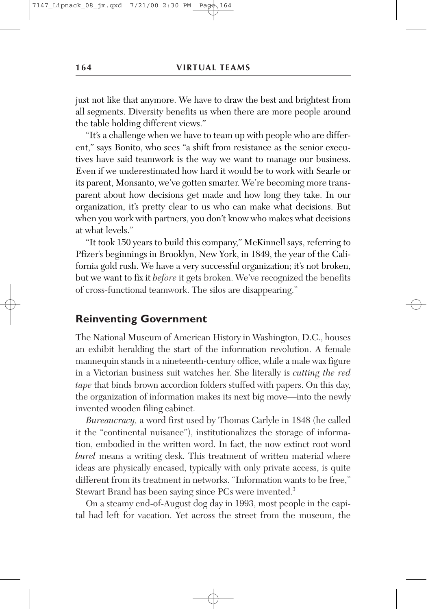just not like that anymore. We have to draw the best and brightest from all segments. Diversity benefits us when there are more people around the table holding different views."

"It's a challenge when we have to team up with people who are different," says Bonito, who sees "a shift from resistance as the senior executives have said teamwork is the way we want to manage our business. Even if we underestimated how hard it would be to work with Searle or its parent, Monsanto, we've gotten smarter. We're becoming more transparent about how decisions get made and how long they take. In our organization, it's pretty clear to us who can make what decisions. But when you work with partners, you don't know who makes what decisions at what levels."

"It took 150 years to build this company," McKinnell says, referring to Pfizer's beginnings in Brooklyn, New York, in 1849, the year of the California gold rush. We have a very successful organization; it's not broken, but we want to fix it *before* it gets broken. We've recognized the benefits of cross-functional teamwork. The silos are disappearing."

## **Reinventing Government**

The National Museum of American History in Washington, D.C., houses an exhibit heralding the start of the information revolution. A female mannequin stands in a nineteenth-century office, while a male wax figure in a Victorian business suit watches her. She literally is *cutting the red tape* that binds brown accordion folders stuffed with papers. On this day, the organization of information makes its next big move—into the newly invented wooden filing cabinet.

*Bureaucracy,* a word first used by Thomas Carlyle in 1848 (he called it the "continental nuisance"), institutionalizes the storage of information, embodied in the written word. In fact, the now extinct root word *burel* means a writing desk. This treatment of written material where ideas are physically encased, typically with only private access, is quite different from its treatment in networks. "Information wants to be free," Stewart Brand has been saying since PCs were invented.<sup>3</sup>

On a steamy end-of-August dog day in 1993, most people in the capital had left for vacation. Yet across the street from the museum, the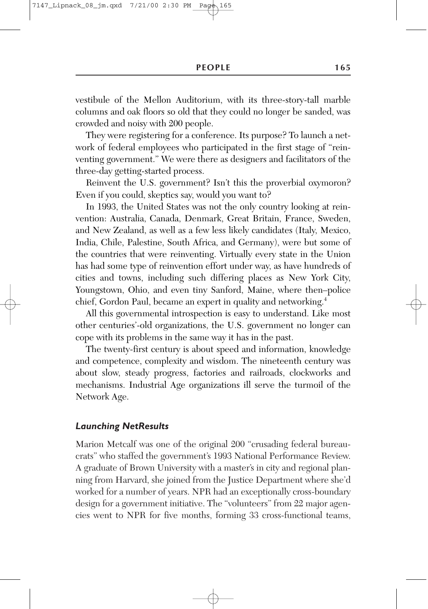vestibule of the Mellon Auditorium, with its three-story-tall marble columns and oak floors so old that they could no longer be sanded, was crowded and noisy with 200 people.

They were registering for a conference. Its purpose? To launch a network of federal employees who participated in the first stage of "reinventing government." We were there as designers and facilitators of the three-day getting-started process.

Reinvent the U.S. government? Isn't this the proverbial oxymoron? Even if you could, skeptics say, would you want to?

In 1993, the United States was not the only country looking at reinvention: Australia, Canada, Denmark, Great Britain, France, Sweden, and New Zealand, as well as a few less likely candidates (Italy, Mexico, India, Chile, Palestine, South Africa, and Germany), were but some of the countries that were reinventing. Virtually every state in the Union has had some type of reinvention effort under way, as have hundreds of cities and towns, including such differing places as New York City, Youngstown, Ohio, and even tiny Sanford, Maine, where then–police chief, Gordon Paul, became an expert in quality and networking.4

All this governmental introspection is easy to understand. Like most other centuries'-old organizations, the U.S. government no longer can cope with its problems in the same way it has in the past.

The twenty-first century is about speed and information, knowledge and competence, complexity and wisdom. The nineteenth century was about slow, steady progress, factories and railroads, clockworks and mechanisms. Industrial Age organizations ill serve the turmoil of the Network Age.

#### *Launching NetResults*

Marion Metcalf was one of the original 200 "crusading federal bureaucrats" who staffed the government's 1993 National Performance Review. A graduate of Brown University with a master's in city and regional planning from Harvard, she joined from the Justice Department where she'd worked for a number of years. NPR had an exceptionally cross-boundary design for a government initiative. The "volunteers" from 22 major agencies went to NPR for five months, forming 33 cross-functional teams,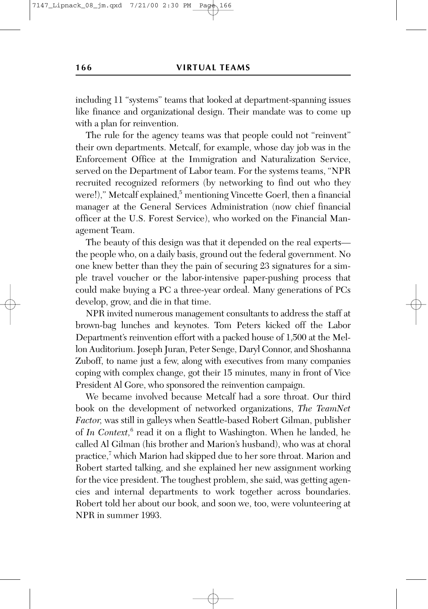including 11 "systems" teams that looked at department-spanning issues like finance and organizational design. Their mandate was to come up with a plan for reinvention.

The rule for the agency teams was that people could not "reinvent" their own departments. Metcalf, for example, whose day job was in the Enforcement Office at the Immigration and Naturalization Service, served on the Department of Labor team. For the systems teams, "NPR recruited recognized reformers (by networking to find out who they were!)," Metcalf explained,<sup>5</sup> mentioning Vincette Goerl, then a financial manager at the General Services Administration (now chief financial officer at the U.S. Forest Service), who worked on the Financial Management Team.

The beauty of this design was that it depended on the real experts the people who, on a daily basis, ground out the federal government. No one knew better than they the pain of securing 23 signatures for a simple travel voucher or the labor-intensive paper-pushing process that could make buying a PC a three-year ordeal. Many generations of PCs develop, grow, and die in that time.

NPR invited numerous management consultants to address the staff at brown-bag lunches and keynotes. Tom Peters kicked off the Labor Department's reinvention effort with a packed house of 1,500 at the Mellon Auditorium. Joseph Juran, Peter Senge, Daryl Connor, and Shoshanna Zuboff, to name just a few, along with executives from many companies coping with complex change, got their 15 minutes, many in front of Vice President Al Gore, who sponsored the reinvention campaign.

We became involved because Metcalf had a sore throat. Our third book on the development of networked organizations, *The TeamNet Factor,* was still in galleys when Seattle-based Robert Gilman, publisher of *In Context*,<sup>6</sup> read it on a flight to Washington. When he landed, he called Al Gilman (his brother and Marion's husband), who was at choral practice,<sup>7</sup> which Marion had skipped due to her sore throat. Marion and Robert started talking, and she explained her new assignment working for the vice president. The toughest problem, she said, was getting agencies and internal departments to work together across boundaries. Robert told her about our book, and soon we, too, were volunteering at NPR in summer 1993.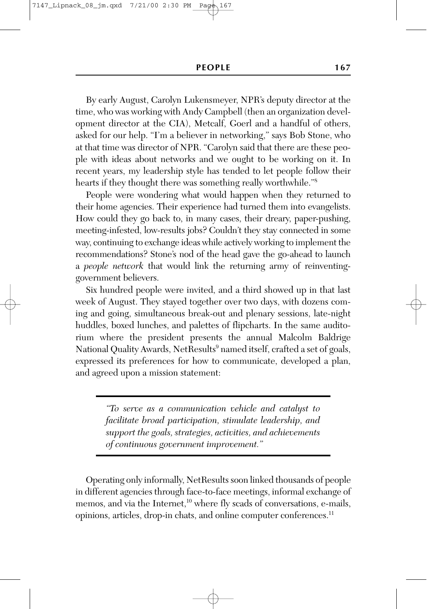By early August, Carolyn Lukensmeyer, NPR's deputy director at the time, who was working with Andy Campbell (then an organization development director at the CIA), Metcalf, Goerl and a handful of others, asked for our help. "I'm a believer in networking," says Bob Stone, who at that time was director of NPR. "Carolyn said that there are these people with ideas about networks and we ought to be working on it. In recent years, my leadership style has tended to let people follow their hearts if they thought there was something really worthwhile."8

People were wondering what would happen when they returned to their home agencies. Their experience had turned them into evangelists. How could they go back to, in many cases, their dreary, paper-pushing, meeting-infested, low-results jobs? Couldn't they stay connected in some way, continuing to exchange ideas while actively working to implement the recommendations? Stone's nod of the head gave the go-ahead to launch a *people network* that would link the returning army of reinventinggovernment believers.

Six hundred people were invited, and a third showed up in that last week of August. They stayed together over two days, with dozens coming and going, simultaneous break-out and plenary sessions, late-night huddles, boxed lunches, and palettes of flipcharts. In the same auditorium where the president presents the annual Malcolm Baldrige National Quality Awards, NetResults<sup>9</sup> named itself, crafted a set of goals, expressed its preferences for how to communicate, developed a plan, and agreed upon a mission statement:

> *"To serve as a communication vehicle and catalyst to facilitate broad participation, stimulate leadership, and support the goals, strategies, activities, and achievements of continuous government improvement."*

Operating only informally, NetResults soon linked thousands of people in different agencies through face-to-face meetings, informal exchange of memos, and via the Internet,<sup>10</sup> where fly scads of conversations, e-mails, opinions, articles, drop-in chats, and online computer conferences.<sup>11</sup>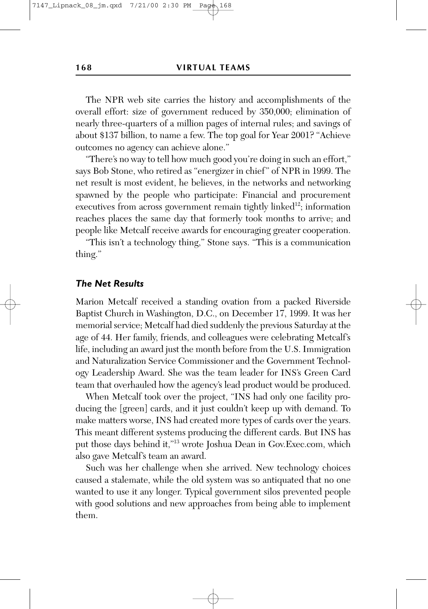The NPR web site carries the history and accomplishments of the overall effort: size of government reduced by 350,000; elimination of nearly three-quarters of a million pages of internal rules; and savings of about \$137 billion, to name a few. The top goal for Year 2001? "Achieve outcomes no agency can achieve alone."

"There's no way to tell how much good you're doing in such an effort," says Bob Stone, who retired as "energizer in chief" of NPR in 1999. The net result is most evident, he believes, in the networks and networking spawned by the people who participate: Financial and procurement executives from across government remain tightly linked<sup>12</sup>; information reaches places the same day that formerly took months to arrive; and people like Metcalf receive awards for encouraging greater cooperation.

"This isn't a technology thing," Stone says. "This is a communication thing."

#### *The Net Results*

Marion Metcalf received a standing ovation from a packed Riverside Baptist Church in Washington, D.C., on December 17, 1999. It was her memorial service; Metcalf had died suddenly the previous Saturday at the age of 44. Her family, friends, and colleagues were celebrating Metcalf's life, including an award just the month before from the U.S. Immigration and Naturalization Service Commissioner and the Government Technology Leadership Award. She was the team leader for INS's Green Card team that overhauled how the agency's lead product would be produced.

When Metcalf took over the project, "INS had only one facility producing the [green] cards, and it just couldn't keep up with demand. To make matters worse, INS had created more types of cards over the years. This meant different systems producing the different cards. But INS has put those days behind it,"<sup>13</sup> wrote Joshua Dean in Gov.Exec.com, which also gave Metcalf's team an award.

Such was her challenge when she arrived. New technology choices caused a stalemate, while the old system was so antiquated that no one wanted to use it any longer. Typical government silos prevented people with good solutions and new approaches from being able to implement them.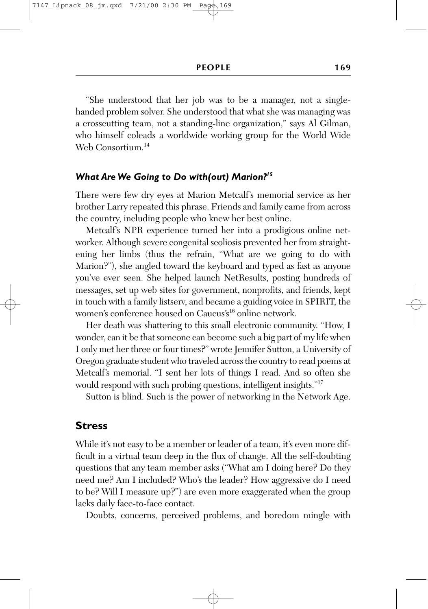"She understood that her job was to be a manager, not a singlehanded problem solver. She understood that what she was managing was a crosscutting team, not a standing-line organization," says Al Gilman, who himself coleads a worldwide working group for the World Wide Web Consortium<sup>14</sup>

## *What Are We Going to Do with(out) Marion?15*

There were few dry eyes at Marion Metcalf's memorial service as her brother Larry repeated this phrase. Friends and family came from across the country, including people who knew her best online.

Metcalf's NPR experience turned her into a prodigious online networker. Although severe congenital scoliosis prevented her from straightening her limbs (thus the refrain, "What are we going to do with Marion?"), she angled toward the keyboard and typed as fast as anyone you've ever seen. She helped launch NetResults, posting hundreds of messages, set up web sites for government, nonprofits, and friends, kept in touch with a family listserv, and became a guiding voice in SPIRIT, the women's conference housed on Caucus's<sup>16</sup> online network.

Her death was shattering to this small electronic community. "How, I wonder, can it be that someone can become such a big part of my life when I only met her three or four times?" wrote Jennifer Sutton, a University of Oregon graduate student who traveled across the country to read poems at Metcalf's memorial. "I sent her lots of things I read. And so often she would respond with such probing questions, intelligent insights."<sup>17</sup>

Sutton is blind. Such is the power of networking in the Network Age.

## **Stress**

While it's not easy to be a member or leader of a team, it's even more difficult in a virtual team deep in the flux of change. All the self-doubting questions that any team member asks ("What am I doing here? Do they need me? Am I included? Who's the leader? How aggressive do I need to be? Will I measure up?") are even more exaggerated when the group lacks daily face-to-face contact.

Doubts, concerns, perceived problems, and boredom mingle with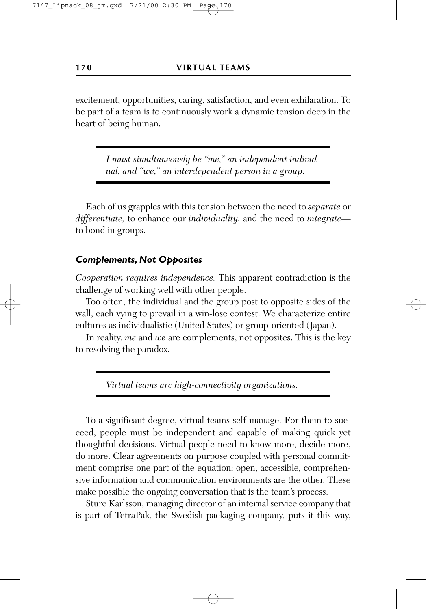excitement, opportunities, caring, satisfaction, and even exhilaration. To be part of a team is to continuously work a dynamic tension deep in the heart of being human.

> *I must simultaneously be "me," an independent individual, and "we," an interdependent person in a group.*

Each of us grapples with this tension between the need to *separate* or *differentiate,* to enhance our *individuality,* and the need to *integrate* to bond in groups.

## *Complements, Not Opposites*

*Cooperation requires independence.* This apparent contradiction is the challenge of working well with other people.

Too often, the individual and the group post to opposite sides of the wall, each vying to prevail in a win-lose contest. We characterize entire cultures as individualistic (United States) or group-oriented (Japan).

In reality, *me* and *we* are complements, not opposites. This is the key to resolving the paradox.

*Virtual teams arc high-connectivity organizations.*

To a significant degree, virtual teams self-manage. For them to succeed, people must be independent and capable of making quick yet thoughtful decisions. Virtual people need to know more, decide more, do more. Clear agreements on purpose coupled with personal commitment comprise one part of the equation; open, accessible, comprehensive information and communication environments are the other. These make possible the ongoing conversation that is the team's process.

Sture Karlsson, managing director of an internal service company that is part of TetraPak, the Swedish packaging company, puts it this way,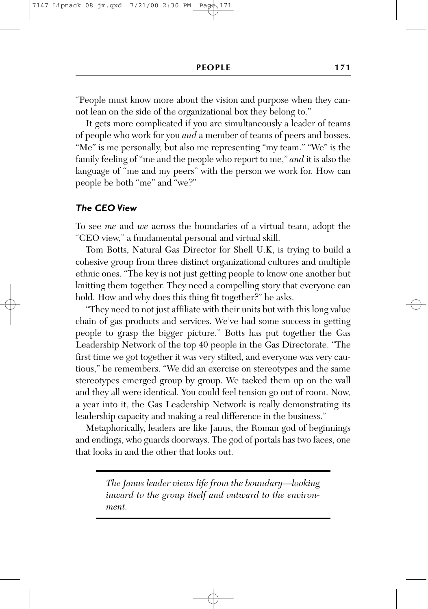"People must know more about the vision and purpose when they cannot lean on the side of the organizational box they belong to."

It gets more complicated if you are simultaneously a leader of teams of people who work for you *and* a member of teams of peers and bosses. "Me" is me personally, but also me representing "my team." "We" is the family feeling of "me and the people who report to me," *and* it is also the language of "me and my peers" with the person we work for. How can people be both "me" and "we?"

#### *The CEO View*

To see *me* and *we* across the boundaries of a virtual team, adopt the "CEO view," a fundamental personal and virtual skill.

Tom Botts, Natural Gas Director for Shell U.K, is trying to build a cohesive group from three distinct organizational cultures and multiple ethnic ones. "The key is not just getting people to know one another but knitting them together. They need a compelling story that everyone can hold. How and why does this thing fit together?" he asks.

"They need to not just affiliate with their units but with this long value chain of gas products and services. We've had some success in getting people to grasp the bigger picture." Botts has put together the Gas Leadership Network of the top 40 people in the Gas Directorate. "The first time we got together it was very stilted, and everyone was very cautious," he remembers. "We did an exercise on stereotypes and the same stereotypes emerged group by group. We tacked them up on the wall and they all were identical. You could feel tension go out of room. Now, a year into it, the Gas Leadership Network is really demonstrating its leadership capacity and making a real difference in the business."

Metaphorically, leaders are like Janus, the Roman god of beginnings and endings, who guards doorways. The god of portals has two faces, one that looks in and the other that looks out.

> *The Janus leader views life from the boundary—looking inward to the group itself and outward to the environment.*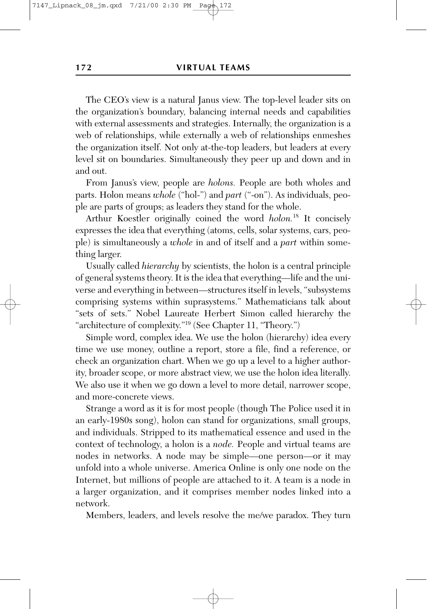The CEO's view is a natural Janus view. The top-level leader sits on the organization's boundary, balancing internal needs and capabilities with external assessments and strategies. Internally, the organization is a web of relationships, while externally a web of relationships enmeshes the organization itself. Not only at-the-top leaders, but leaders at every level sit on boundaries. Simultaneously they peer up and down and in and out.

From Janus's view, people are *holons.* People are both wholes and parts. Holon means *whole* ("hol-") and *part* ("-on"). As individuals, people are parts of groups; as leaders they stand for the whole.

Arthur Koestler originally coined the word *holon.*<sup>18</sup> It concisely expresses the idea that everything (atoms, cells, solar systems, cars, people) is simultaneously a *whole* in and of itself and a *part* within something larger.

Usually called *hierarchy* by scientists, the holon is a central principle of general systems theory. It is the idea that everything—life and the universe and everything in between—structures itself in levels, "subsystems comprising systems within suprasystems." Mathematicians talk about "sets of sets." Nobel Laureate Herbert Simon called hierarchy the "architecture of complexity."19 (See Chapter 11, "Theory.")

Simple word, complex idea. We use the holon (hierarchy) idea every time we use money, outline a report, store a file, find a reference, or check an organization chart. When we go up a level to a higher authority, broader scope, or more abstract view, we use the holon idea literally. We also use it when we go down a level to more detail, narrower scope, and more-concrete views.

Strange a word as it is for most people (though The Police used it in an early-1980s song), holon can stand for organizations, small groups, and individuals. Stripped to its mathematical essence and used in the context of technology, a holon is a *node.* People and virtual teams are nodes in networks. A node may be simple—one person—or it may unfold into a whole universe. America Online is only one node on the Internet, but millions of people are attached to it. A team is a node in a larger organization, and it comprises member nodes linked into a network.

Members, leaders, and levels resolve the me/we paradox. They turn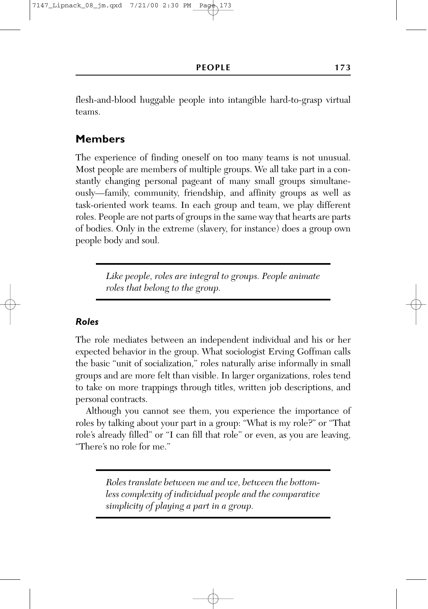flesh-and-blood huggable people into intangible hard-to-grasp virtual teams.

# **Members**

The experience of finding oneself on too many teams is not unusual. Most people are members of multiple groups. We all take part in a constantly changing personal pageant of many small groups simultaneously—family, community, friendship, and affinity groups as well as task-oriented work teams. In each group and team, we play different roles. People are not parts of groups in the same way that hearts are parts of bodies. Only in the extreme (slavery, for instance) does a group own people body and soul.

> *Like people, roles are integral to groups. People animate roles that belong to the group.*

## *Roles*

The role mediates between an independent individual and his or her expected behavior in the group. What sociologist Erving Goffman calls the basic "unit of socialization," roles naturally arise informally in small groups and are more felt than visible. In larger organizations, roles tend to take on more trappings through titles, written job descriptions, and personal contracts.

Although you cannot see them, you experience the importance of roles by talking about your part in a group: "What is my role?" or "That role's already filled" or "I can fill that role" or even, as you are leaving, "There's no role for me."

> *Roles translate between me and we, between the bottomless complexity of individual people and the comparative simplicity of playing a part in a group.*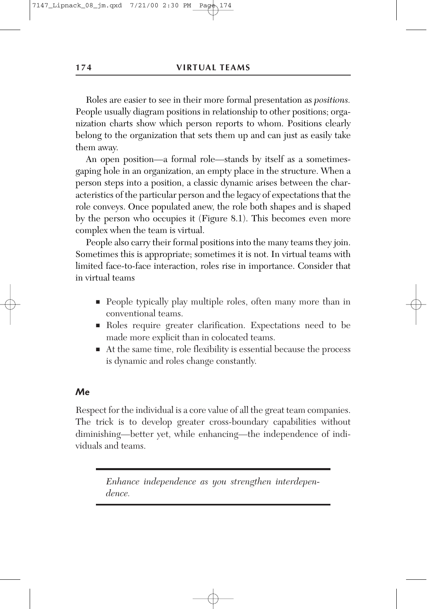Roles are easier to see in their more formal presentation as *positions.* People usually diagram positions in relationship to other positions; organization charts show which person reports to whom. Positions clearly belong to the organization that sets them up and can just as easily take them away.

An open position—a formal role—stands by itself as a sometimesgaping hole in an organization, an empty place in the structure. When a person steps into a position, a classic dynamic arises between the characteristics of the particular person and the legacy of expectations that the role conveys. Once populated anew, the role both shapes and is shaped by the person who occupies it (Figure 8.1). This becomes even more complex when the team is virtual.

People also carry their formal positions into the many teams they join. Sometimes this is appropriate; sometimes it is not. In virtual teams with limited face-to-face interaction, roles rise in importance. Consider that in virtual teams

- People typically play multiple roles, often many more than in conventional teams.
- Roles require greater clarification. Expectations need to be made more explicit than in colocated teams.
- At the same time, role flexibility is essential because the process is dynamic and roles change constantly.

## *Me*

Respect for the individual is a core value of all the great team companies. The trick is to develop greater cross-boundary capabilities without diminishing—better yet, while enhancing—the independence of individuals and teams.

> *Enhance independence as you strengthen interdependence.*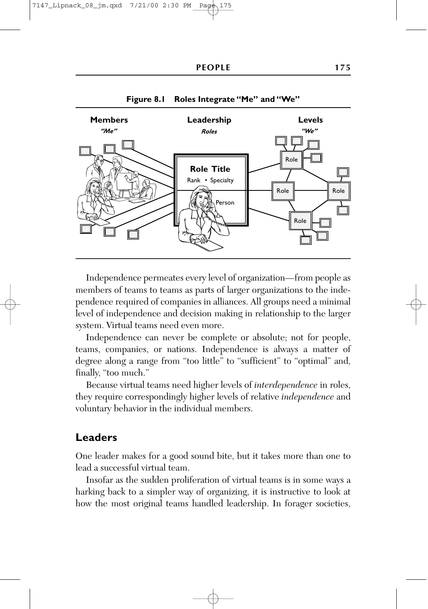

**Figure 8.1 Roles Integrate "Me" and "We"**

Independence permeates every level of organization—from people as members of teams to teams as parts of larger organizations to the independence required of companies in alliances. All groups need a minimal level of independence and decision making in relationship to the larger system. Virtual teams need even more.

Independence can never be complete or absolute; not for people, teams, companies, or nations. Independence is always a matter of degree along a range from "too little" to "sufficient" to "optimal" and, finally, "too much."

Because virtual teams need higher levels of *interdependence* in roles, they require correspondingly higher levels of relative *independence* and voluntary behavior in the individual members.

## **Leaders**

One leader makes for a good sound bite, but it takes more than one to lead a successful virtual team.

Insofar as the sudden proliferation of virtual teams is in some ways a harking back to a simpler way of organizing, it is instructive to look at how the most original teams handled leadership. In forager societies,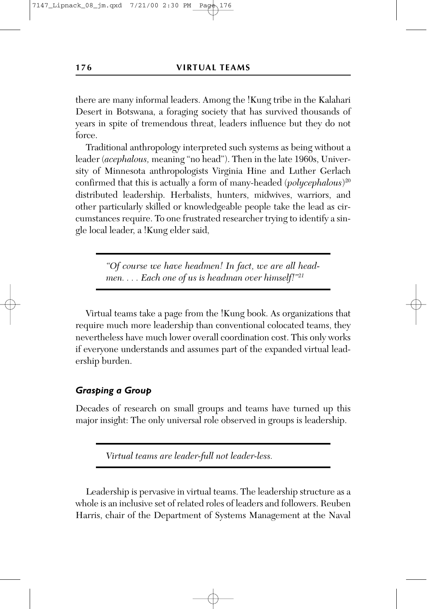there are many informal leaders. Among the !Kung tribe in the Kalahari Desert in Botswana, a foraging society that has survived thousands of years in spite of tremendous threat, leaders influence but they do not force.

Traditional anthropology interpreted such systems as being without a leader (*acephalous,* meaning "no head"). Then in the late 1960s, University of Minnesota anthropologists Virginia Hine and Luther Gerlach confirmed that this is actually a form of many-headed (*polycephalous*) 20 distributed leadership. Herbalists, hunters, midwives, warriors, and other particularly skilled or knowledgeable people take the lead as circumstances require. To one frustrated researcher trying to identify a single local leader, a !Kung elder said,

> *"Of course we have headmen! In fact, we are all headmen. . . . Each one of us is headman over himself!"21*

Virtual teams take a page from the !Kung book. As organizations that require much more leadership than conventional colocated teams, they nevertheless have much lower overall coordination cost. This only works if everyone understands and assumes part of the expanded virtual leadership burden.

## *Grasping a Group*

Decades of research on small groups and teams have turned up this major insight: The only universal role observed in groups is leadership.

*Virtual teams are leader-full not leader-less.*

Leadership is pervasive in virtual teams. The leadership structure as a whole is an inclusive set of related roles of leaders and followers. Reuben Harris, chair of the Department of Systems Management at the Naval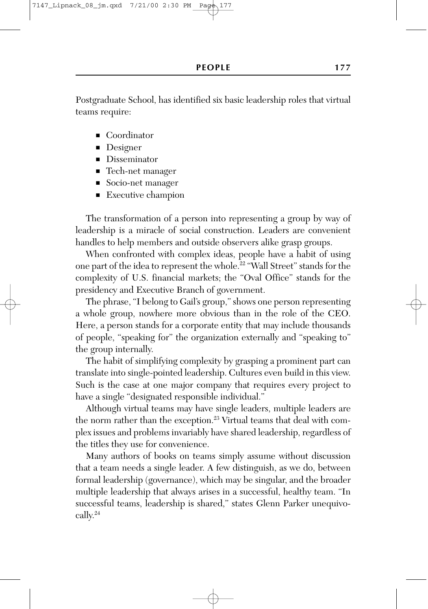Postgraduate School, has identified six basic leadership roles that virtual teams require:

- Coordinator
- Designer
- Disseminator
- Tech-net manager
- Socio-net manager
- Executive champion

The transformation of a person into representing a group by way of leadership is a miracle of social construction. Leaders are convenient handles to help members and outside observers alike grasp groups.

When confronted with complex ideas, people have a habit of using one part of the idea to represent the whole.<sup>22</sup> "Wall Street" stands for the complexity of U.S. financial markets; the "Oval Office" stands for the presidency and Executive Branch of government.

The phrase, "I belong to Gail's group," shows one person representing a whole group, nowhere more obvious than in the role of the CEO. Here, a person stands for a corporate entity that may include thousands of people, "speaking for" the organization externally and "speaking to" the group internally.

The habit of simplifying complexity by grasping a prominent part can translate into single-pointed leadership. Cultures even build in this view. Such is the case at one major company that requires every project to have a single "designated responsible individual."

Although virtual teams may have single leaders, multiple leaders are the norm rather than the exception.<sup>23</sup> Virtual teams that deal with complex issues and problems invariably have shared leadership, regardless of the titles they use for convenience.

Many authors of books on teams simply assume without discussion that a team needs a single leader. A few distinguish, as we do, between formal leadership (governance), which may be singular, and the broader multiple leadership that always arises in a successful, healthy team. "In successful teams, leadership is shared," states Glenn Parker unequivocally.24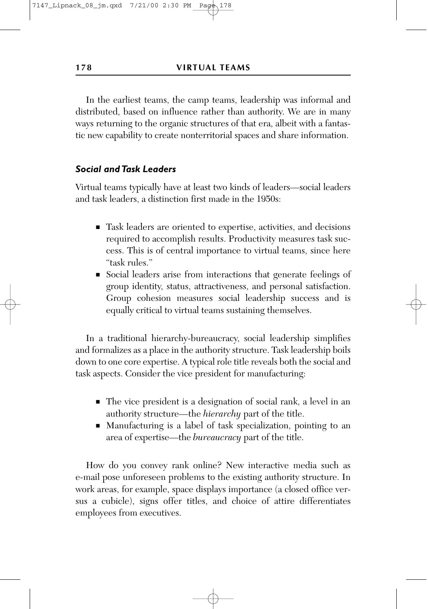In the earliest teams, the camp teams, leadership was informal and distributed, based on influence rather than authority. We are in many ways returning to the organic structures of that era, albeit with a fantastic new capability to create nonterritorial spaces and share information.

## *Social and Task Leaders*

Virtual teams typically have at least two kinds of leaders—social leaders and task leaders, a distinction first made in the 1950s:

- Task leaders are oriented to expertise, activities, and decisions required to accomplish results. Productivity measures task success. This is of central importance to virtual teams, since here "task rules."
- Social leaders arise from interactions that generate feelings of group identity, status, attractiveness, and personal satisfaction. Group cohesion measures social leadership success and is equally critical to virtual teams sustaining themselves.

In a traditional hierarchy-bureaucracy, social leadership simplifies and formalizes as a place in the authority structure. Task leadership boils down to one core expertise. A typical role title reveals both the social and task aspects. Consider the vice president for manufacturing:

- The vice president is a designation of social rank, a level in an authority structure—the *hierarchy* part of the title.
- Manufacturing is a label of task specialization, pointing to an area of expertise—the *bureaucracy* part of the title.

How do you convey rank online? New interactive media such as e-mail pose unforeseen problems to the existing authority structure. In work areas, for example, space displays importance (a closed office versus a cubicle), signs offer titles, and choice of attire differentiates employees from executives.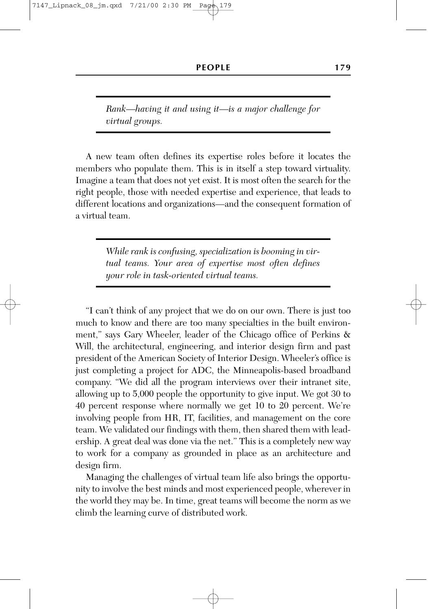*Rank—having it and using it—is a major challenge for virtual groups.*

A new team often defines its expertise roles before it locates the members who populate them. This is in itself a step toward virtuality. Imagine a team that does not yet exist. It is most often the search for the right people, those with needed expertise and experience, that leads to different locations and organizations—and the consequent formation of a virtual team.

> *While rank is confusing, specialization is booming in virtual teams. Your area of expertise most often defines your role in task-oriented virtual teams.*

"I can't think of any project that we do on our own. There is just too much to know and there are too many specialties in the built environment," says Gary Wheeler, leader of the Chicago office of Perkins & Will, the architectural, engineering, and interior design firm and past president of the American Society of Interior Design. Wheeler's office is just completing a project for ADC, the Minneapolis-based broadband company. "We did all the program interviews over their intranet site, allowing up to 5,000 people the opportunity to give input. We got 30 to 40 percent response where normally we get 10 to 20 percent. We're involving people from HR, IT, facilities, and management on the core team. We validated our findings with them, then shared them with leadership. A great deal was done via the net." This is a completely new way to work for a company as grounded in place as an architecture and design firm.

Managing the challenges of virtual team life also brings the opportunity to involve the best minds and most experienced people, wherever in the world they may be. In time, great teams will become the norm as we climb the learning curve of distributed work.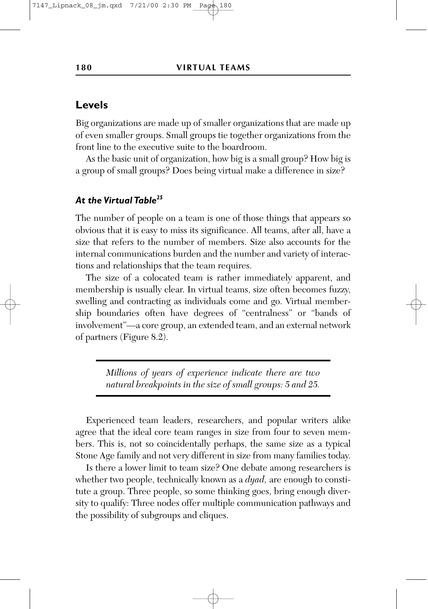## **Levels**

Big organizations are made up of smaller organizations that are made up of even smaller groups. Small groups tie together organizations from the front line to the executive suite to the boardroom.

As the basic unit of organization, how big is a small group? How big is a group of small groups? Does being virtual make a difference in size?

## *At the Virtual Table25*

The number of people on a team is one of those things that appears so obvious that it is easy to miss its significance. All teams, after all, have a size that refers to the number of members. Size also accounts for the internal communications burden and the number and variety of interactions and relationships that the team requires.

The size of a colocated team is rather immediately apparent, and membership is usually clear. In virtual teams, size often becomes fuzzy, swelling and contracting as individuals come and go. Virtual membership boundaries often have degrees of "centralness" or "bands of involvement"—a core group, an extended team, and an external network of partners (Figure 8.2).

> *Millions of years of experience indicate there are two natural breakpoints in the size of small groups: 5 and 25.*

Experienced team leaders, researchers, and popular writers alike agree that the ideal core team ranges in size from four to seven members. This is, not so coincidentally perhaps, the same size as a typical Stone Age family and not very different in size from many families today.

Is there a lower limit to team size? One debate among researchers is whether two people, technically known as a *dyad,* are enough to constitute a group. Three people, so some thinking goes, bring enough diversity to qualify: Three nodes offer multiple communication pathways and the possibility of subgroups and cliques.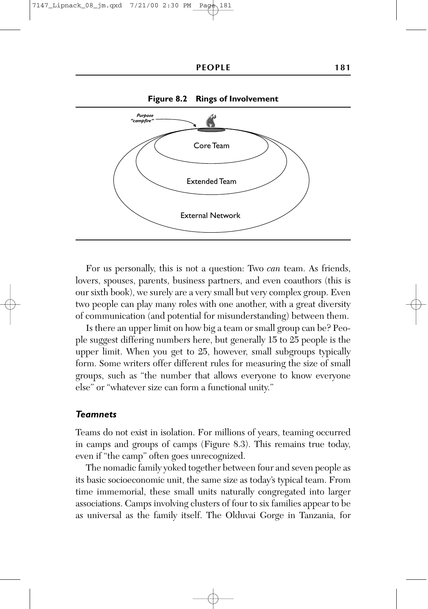

**Figure 8.2 Rings of Involvement**

For us personally, this is not a question: Two *can* team. As friends, lovers, spouses, parents, business partners, and even coauthors (this is our sixth book), we surely are a very small but very complex group. Even two people can play many roles with one another, with a great diversity of communication (and potential for misunderstanding) between them.

Is there an upper limit on how big a team or small group can be? People suggest differing numbers here, but generally 15 to 25 people is the upper limit. When you get to 25, however, small subgroups typically form. Some writers offer different rules for measuring the size of small groups, such as "the number that allows everyone to know everyone else" or "whatever size can form a functional unity."

#### *Teamnets*

Teams do not exist in isolation. For millions of years, teaming occurred in camps and groups of camps (Figure 8.3). This remains true today, even if "the camp" often goes unrecognized.

The nomadic family yoked together between four and seven people as its basic socioeconomic unit, the same size as today's typical team. From time immemorial, these small units naturally congregated into larger associations. Camps involving clusters of four to six families appear to be as universal as the family itself. The Olduvai Gorge in Tanzania, for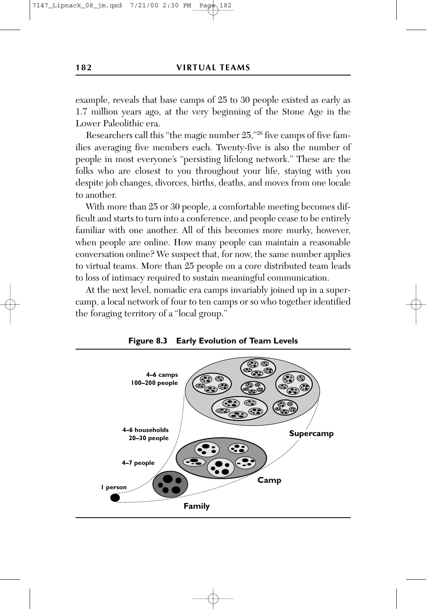example, reveals that base camps of 25 to 30 people existed as early as 1.7 million years ago, at the very beginning of the Stone Age in the Lower Paleolithic era.

Researchers call this "the magic number 25,"26 five camps of five families averaging five members each. Twenty-five is also the number of people in most everyone's "persisting lifelong network." These are the folks who are closest to you throughout your life, staying with you despite job changes, divorces, births, deaths, and moves from one locale to another.

With more than 25 or 30 people, a comfortable meeting becomes difficult and starts to turn into a conference, and people cease to be entirely familiar with one another. All of this becomes more murky, however, when people are online. How many people can maintain a reasonable conversation online? We suspect that, for now, the same number applies to virtual teams. More than 25 people on a core distributed team leads to loss of intimacy required to sustain meaningful communication.

At the next level, nomadic era camps invariably joined up in a supercamp, a local network of four to ten camps or so who together identified the foraging territory of a "local group."



**Figure 8.3 Early Evolution of Team Levels**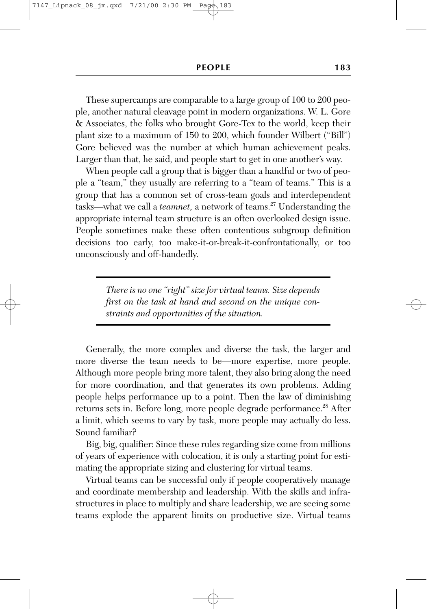These supercamps are comparable to a large group of 100 to 200 people, another natural cleavage point in modern organizations. W. L. Gore & Associates, the folks who brought Gore-Tex to the world, keep their plant size to a maximum of 150 to 200, which founder Wilbert ("Bill") Gore believed was the number at which human achievement peaks. Larger than that, he said, and people start to get in one another's way.

When people call a group that is bigger than a handful or two of people a "team," they usually are referring to a "team of teams." This is a group that has a common set of cross-team goals and interdependent tasks—what we call a *teamnet*, a network of teams.<sup>27</sup> Understanding the appropriate internal team structure is an often overlooked design issue. People sometimes make these often contentious subgroup definition decisions too early, too make-it-or-break-it-confrontationally, or too unconsciously and off-handedly.

> *There is no one "right" size for virtual teams. Size depends first on the task at hand and second on the unique constraints and opportunities of the situation.*

Generally, the more complex and diverse the task, the larger and more diverse the team needs to be—more expertise, more people. Although more people bring more talent, they also bring along the need for more coordination, and that generates its own problems. Adding people helps performance up to a point. Then the law of diminishing returns sets in. Before long, more people degrade performance.<sup>28</sup> After a limit, which seems to vary by task, more people may actually do less. Sound familiar?

Big, big, qualifier: Since these rules regarding size come from millions of years of experience with colocation, it is only a starting point for estimating the appropriate sizing and clustering for virtual teams.

Virtual teams can be successful only if people cooperatively manage and coordinate membership and leadership. With the skills and infrastructures in place to multiply and share leadership, we are seeing some teams explode the apparent limits on productive size. Virtual teams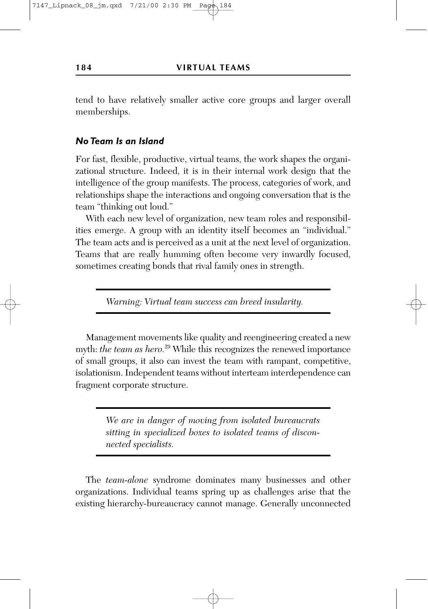tend to have relatively smaller active core groups and larger overall memberships.

#### *No Team Is an Island*

For fast, flexible, productive, virtual teams, the work shapes the organizational structure. Indeed, it is in their internal work design that the intelligence of the group manifests. The process, categories of work, and relationships shape the interactions and ongoing conversation that is the team "thinking out loud."

With each new level of organization, new team roles and responsibilities emerge. A group with an identity itself becomes an "individual." The team acts and is perceived as a unit at the next level of organization. Teams that are really humming often become very inwardly focused, sometimes creating bonds that rival family ones in strength.

*Warning: Virtual team success can breed insularity.*

Management movements like quality and reengineering created a new myth: *the team as hero.*<sup>29</sup> While this recognizes the renewed importance of small groups, it also can invest the team with rampant, competitive, isolationism. Independent teams without interteam interdependence can fragment corporate structure.

> *We are in danger of moving from isolated bureaucrats sitting in specialized boxes to isolated teams of disconnected specialists.*

The *team-alone* syndrome dominates many businesses and other organizations. Individual teams spring up as challenges arise that the existing hierarchy-bureaucracy cannot manage. Generally unconnected